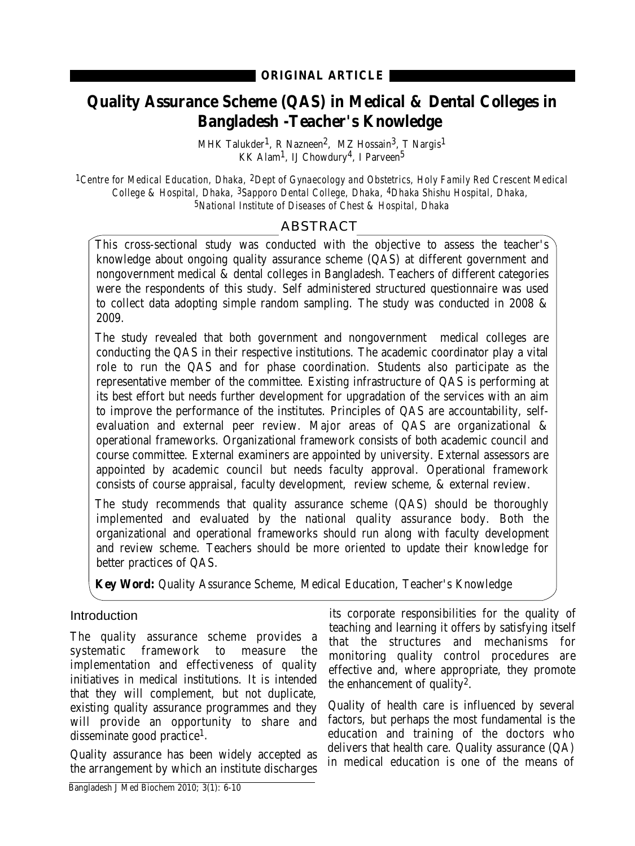# **Quality Assurance Scheme (QAS) in Medical & Dental Colleges in Bangladesh -Teacher's Knowledge**

MHK Talukder<sup>1</sup>, R Nazneen<sup>2</sup>, MZ Hossain<sup>3</sup>, T Nargis<sup>1</sup> KK Alam<sup>1</sup>, IJ Chowdury<sup>4</sup>, I Parveen<sup>5</sup>

*1Centre for Medical Education, Dhaka, 2Dept of Gynaecology and Obstetrics, Holy Family Red Crescent Medical College & Hospital, Dhaka, 3Sapporo Dental College, Dhaka, 4Dhaka Shishu Hospital, Dhaka, 5National Institute of Diseases of Chest & Hospital, Dhaka*

# ABSTRACT

This cross-sectional study was conducted with the objective to assess the teacher's knowledge about ongoing quality assurance scheme (QAS) at different government and nongovernment medical & dental colleges in Bangladesh. Teachers of different categories were the respondents of this study. Self administered structured questionnaire was used to collect data adopting simple random sampling. The study was conducted in 2008 & 2009.

The study revealed that both government and nongovernment medical colleges are conducting the QAS in their respective institutions. The academic coordinator play a vital role to run the QAS and for phase coordination. Students also participate as the representative member of the committee. Existing infrastructure of QAS is performing at its best effort but needs further development for upgradation of the services with an aim to improve the performance of the institutes. Principles of QAS are accountability, selfevaluation and external peer review. Major areas of QAS are organizational & operational frameworks. Organizational framework consists of both academic council and course committee. External examiners are appointed by university. External assessors are appointed by academic council but needs faculty approval. Operational framework consists of course appraisal, faculty development, review scheme, & external review.

The study recommends that quality assurance scheme (QAS) should be thoroughly implemented and evaluated by the national quality assurance body. Both the organizational and operational frameworks should run along with faculty development and review scheme. Teachers should be more oriented to update their knowledge for better practices of QAS.

**Key Word:** Quality Assurance Scheme, Medical Education, Teacher's Knowledge

## **Introduction**

The quality assurance scheme provides a systematic framework to measure the implementation and effectiveness of quality initiatives in medical institutions. It is intended that they will complement, but not duplicate, existing quality assurance programmes and they will provide an opportunity to share and disseminate good practice1.

Quality assurance has been widely accepted as the arrangement by which an institute discharges

its corporate responsibilities for the quality of teaching and learning it offers by satisfying itself that the structures and mechanisms for monitoring quality control procedures are effective and, where appropriate, they promote the enhancement of quality2.

Quality of health care is influenced by several factors, but perhaps the most fundamental is the education and training of the doctors who delivers that health care. Quality assurance (QA) in medical education is one of the means of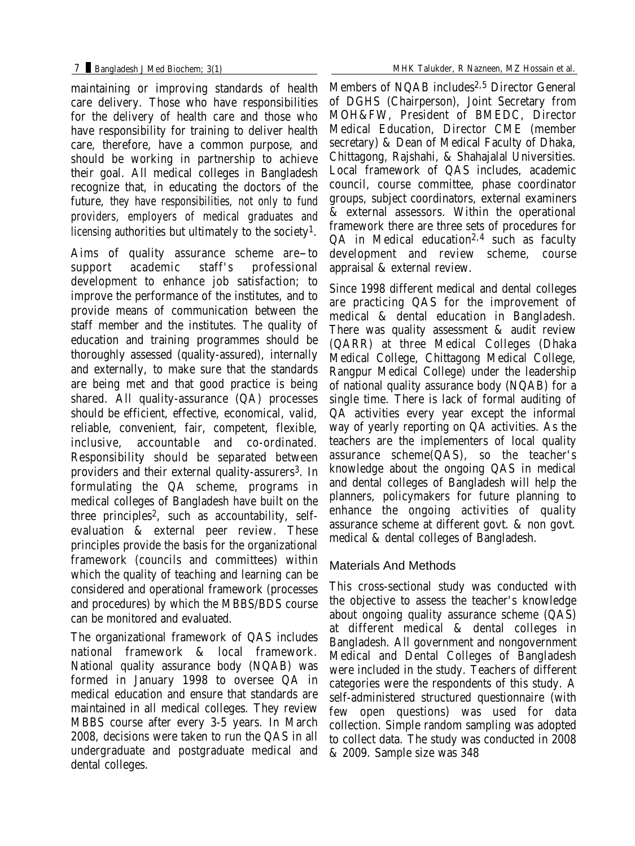maintaining or improving standards of health care delivery. Those who have responsibilities for the delivery of health care and those who have responsibility for training to deliver health care, therefore, have a common purpose, and should be working in partnership to achieve their goal. All medical colleges in Bangladesh recognize that, in educating the doctors of the future, they have responsibilities, not only to fund providers, employers of medical graduates and licensing authorities but ultimately to the society<sup>1</sup>.

Aims of quality assurance scheme are-to professional development to enhance job satisfaction; to improve the performance of the institutes, and to provide means of communication between the staff member and the institutes. The quality of education and training programmes should be thoroughly assessed (quality-assured), internally and externally, to make sure that the standards are being met and that good practice is being shared. All quality-assurance (QA) processes should be efficient, effective, economical, valid, reliable, convenient, fair, competent, flexible, inclusive, accountable and co-ordinated. Responsibility should be separated between providers and their external quality-assurers<sup>3</sup>. In formulating the QA scheme, programs in medical colleges of Bangladesh have built on the three principles2, such as accountability, selfevaluation & external peer review. These principles provide the basis for the organizational framework (councils and committees) within which the quality of teaching and learning can be considered and operational framework (processes and procedures) by which the MBBS/BDS course can be monitored and evaluated.

The organizational framework of QAS includes national framework & local framework. National quality assurance body (NQAB) was formed in January 1998 to oversee QA in medical education and ensure that standards are maintained in all medical colleges. They review MBBS course after every 3-5 years. In March 2008, decisions were taken to run the QAS in all undergraduate and postgraduate medical and dental colleges.

Members of NQAB includes<sup>2,5</sup> Director General of DGHS (Chairperson), Joint Secretary from MOH&FW, President of BMEDC, Director Medical Education, Director CME (member secretary) & Dean of Medical Faculty of Dhaka, Chittagong, Rajshahi, & Shahajalal Universities. Local framework of QAS includes, academic council, course committee, phase coordinator groups, subject coordinators, external examiners & external assessors. Within the operational framework there are three sets of procedures for  $QA$  in Medical education<sup>2,4</sup> such as faculty development and review scheme, course appraisal & external review.

Since 1998 different medical and dental colleges are practicing QAS for the improvement of medical & dental education in Bangladesh. There was quality assessment & audit review (QARR) at three Medical Colleges (Dhaka Medical College, Chittagong Medical College, Rangpur Medical College) under the leadership of national quality assurance body (NQAB) for a single time. There is lack of formal auditing of QA activities every year except the informal way of yearly reporting on QA activities. As the teachers are the implementers of local quality assurance scheme(QAS), so the teacher's knowledge about the ongoing QAS in medical and dental colleges of Bangladesh will help the planners, policymakers for future planning to enhance the ongoing activities of quality assurance scheme at different govt. & non govt. medical & dental colleges of Bangladesh.

## Materials And Methods

This cross-sectional study was conducted with the objective to assess the teacher's knowledge about ongoing quality assurance scheme (QAS) at different medical & dental colleges in Bangladesh. All government and nongovernment Medical and Dental Colleges of Bangladesh were included in the study. Teachers of different categories were the respondents of this study. A self-administered structured questionnaire (with few open questions) was used for data collection. Simple random sampling was adopted to collect data. The study was conducted in 2008 & 2009. Sample size was 348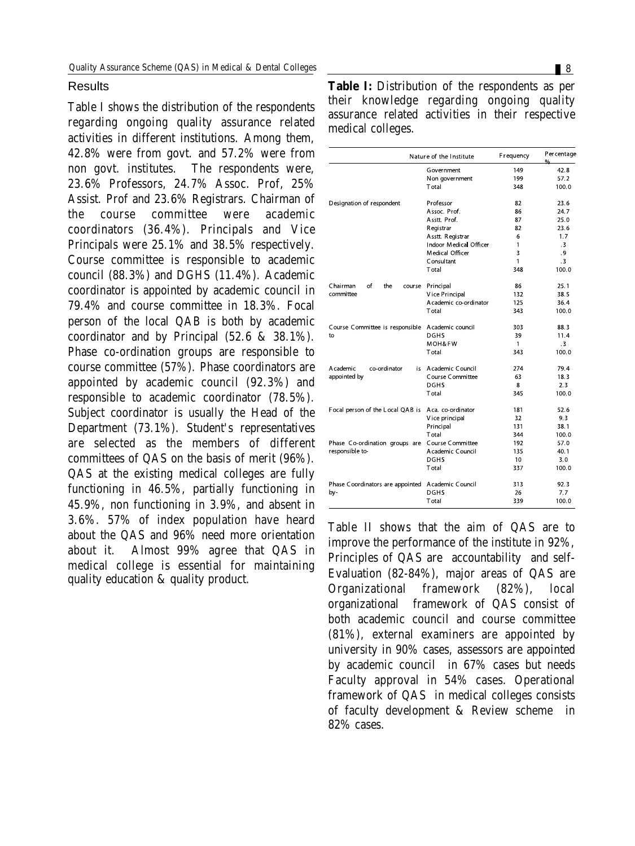#### Results

Table I shows the distribution of the respondents regarding ongoing quality assurance related activities in different institutions. Among them, 42.8% were from govt. and 57.2% were from non govt. institutes. The respondents were, 23.6% Professors, 24.7% Assoc. Prof, 25% Assist. Prof and 23.6% Registrars. Chairman of the course committee were academic coordinators (36.4%). Principals and Vice Principals were 25.1% and 38.5% respectively. Course committee is responsible to academic council (88.3%) and DGHS (11.4%). Academic coordinator is appointed by academic council in 79.4% and course committee in 18.3%. Focal person of the local QAB is both by academic coordinator and by Principal (52.6 & 38.1%). Phase co-ordination groups are responsible to course committee (57%). Phase coordinators are appointed by academic council (92.3%) and responsible to academic coordinator (78.5%). Subject coordinator is usually the Head of the Department (73.1%). Student's representatives are selected as the members of different committees of QAS on the basis of merit (96%). QAS at the existing medical colleges are fully functioning in 46.5%, partially functioning in 45.9%, non functioning in 3.9%, and absent in 3.6%. 57% of index population have heard about the QAS and 96% need more orientation about it. Almost 99% agree that QAS in medical college is essential for maintaining quality education & quality product.

| <b>Table I:</b> Distribution of the respondents as per |  |  |
|--------------------------------------------------------|--|--|
| their knowledge regarding ongoing quality              |  |  |
| assurance related activities in their respective       |  |  |
| medical colleges.                                      |  |  |

| Nature of the Institute                           |                        | Frequency    | Per centage<br>$\frac{0}{0}$ |
|---------------------------------------------------|------------------------|--------------|------------------------------|
|                                                   | Government             | 149          | 42.8                         |
|                                                   | Non government         | 199          | 57.2                         |
|                                                   | Total                  | 348          | 100.0                        |
| Designation of respondent                         | Professor              | 82           | 23.6                         |
|                                                   | Assoc. Prof.           | 86           | 24.7                         |
|                                                   | Asstt. Prof.           | 87           | 25.0                         |
|                                                   | Registrar              | 82           | 23.6                         |
|                                                   | Asstt. Registrar       | 6            | 1.7                          |
|                                                   | Indoor Medical Officer | $\mathbf{1}$ | $\cdot$ <sub>3</sub>         |
|                                                   | Medical Officer        | 3            | .9                           |
|                                                   | Consultant             | $\mathbf{1}$ | $\cdot$ 3                    |
|                                                   | T otal                 | 348          | 100.0                        |
| of<br>Chairman<br>the<br>course                   | Principal              | 86           | 25.1                         |
| committee                                         | Vice Principal         | 132          | 38.5                         |
|                                                   | A cademic co-ordinator | 125          | 36.4                         |
|                                                   | T otal                 | 343          | 100.0                        |
| Course Committee is responsible                   | A cademic counci       | 303          | 88.3                         |
| to                                                | <b>DGHS</b>            | 39           | 11.4                         |
|                                                   | MOH&FW                 | $\mathbf{1}$ | $\cdot$ <sub>3</sub>         |
|                                                   | T otal                 | 343          | 100.0                        |
| A cademic<br>co-ordinator                         | is Academic Council    | 274          | 79.4                         |
| appointed by                                      | Course Committee       | 63           | 18.3                         |
|                                                   | <b>DGHS</b>            | 8            | 2.3                          |
|                                                   | T otal                 | 345          | 100.0                        |
| Focal person of the Local QAB is                  | Aca. co-ordinator      | 181          | 52.6                         |
|                                                   | Vice principal         | 32           | 9.3                          |
|                                                   | Principal              | 131          | 38.1                         |
|                                                   | T otal                 | 344          | 100.0                        |
| Phase Co-ordination groups are                    | Course Committee       | 192          | 57.0                         |
| responsible to-                                   | A cademic Council      | 135          | 40.1                         |
|                                                   | <b>DGHS</b>            | 10           | 3.0                          |
|                                                   | T otal                 | 337          | 100.0                        |
| Phase Coordinators are appointed Academic Council |                        | 313          | 92.3                         |
| by-                                               | <b>DGHS</b>            | 26           | 7.7                          |
|                                                   | T otal                 | 339          | 100.0                        |

Table II shows that the aim of QAS are to improve the performance of the institute in 92%, Principles of QAS are accountability and self-Evaluation (82-84%), major areas of QAS are Organizational framework (82%), local organizational framework of QAS consist of both academic council and course committee (81%), external examiners are appointed by university in 90% cases, assessors are appointed by academic council in 67% cases but needs Faculty approval in 54% cases. Operational framework of QAS in medical colleges consists of faculty development & Review scheme in 82% cases.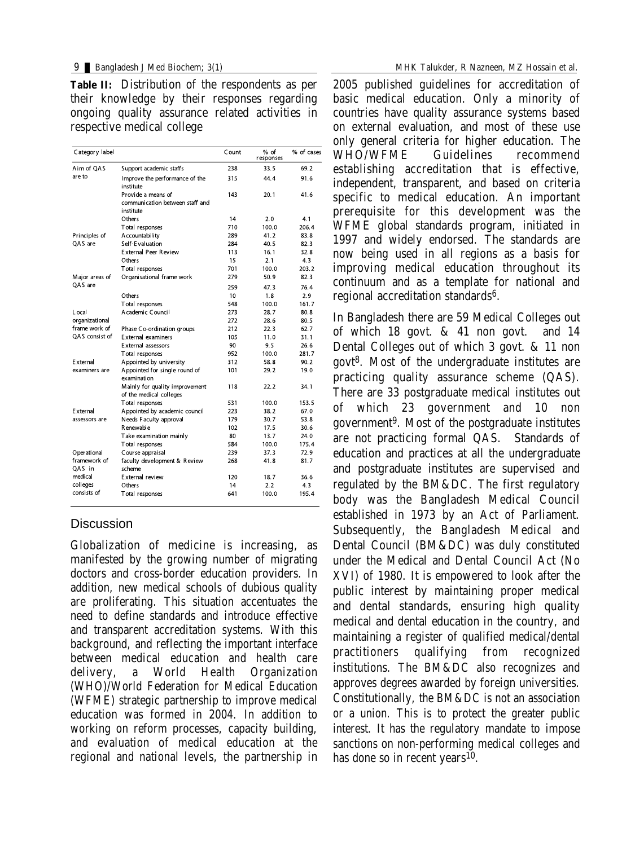**Table II:** Distribution of the respondents as per their knowledge by their responses regarding ongoing quality assurance related activities in respective medical college

| Category label         |                                                                    | Count | % of<br>responses | % of cases |
|------------------------|--------------------------------------------------------------------|-------|-------------------|------------|
| Aim of OAS             | Support academic staffs                                            | 238   | 33.5              | 69.2       |
| are to                 | Improve the performance of the<br>institute                        | 315   | 44.4              | 91.6       |
|                        | Provide a means of<br>communication between staff and<br>institute | 143   | 20.1              | 41.6       |
|                        | Others                                                             | 14    | 2.0               | 4.1        |
|                        | Total responses                                                    | 710   | 100.0             | 206.4      |
| Principles of          | A ccountability                                                    | 289   | 41.2              | 83.8       |
| OAS are                | Self-Evaluation                                                    | 284   | 40.5              | 82.3       |
|                        | External Peer Review                                               | 113   | 16.1              | 32.8       |
|                        | Others                                                             | 15    | 2.1               | 4.3        |
|                        | Total responses                                                    | 701   | 100.0             | 203.2      |
| Major areas of         | Organisational frame work                                          | 279   | 50.9              | 82.3       |
| OAS are                |                                                                    | 259   | 47.3              | 76.4       |
|                        | Others                                                             | 10    | 1.8               | 2.9        |
|                        | Total responses                                                    | 548   | 100.0             | 161.7      |
| L ocal                 | A cademic Council                                                  | 273   | 28.7              | 80.8       |
| organizational         |                                                                    | 272   | 28.6              | 80.5       |
| frame work of          | Phase Co-ordination groups                                         | 212   | 22.3              | 62.7       |
| OAS consist of         | External examiners                                                 | 105   | 11.0              | 31.1       |
|                        | External assessors                                                 | 90    | 9.5               | 26.6       |
|                        | Total responses                                                    | 952   | 100.0             | 281.7      |
| <b>Fxternal</b>        | A ppointed by university                                           | 312   | 58.8              | 90.2       |
| examiners are          | Appointed for single round of<br>examination                       | 101   | 29.2              | 19.0       |
|                        | Mainly for quality improvement<br>of the medical colleges          | 118   | 22.2              | 34.1       |
|                        | Total responses                                                    | 531   | 100.0             | 153.5      |
| <b>External</b>        | Appointed by academic council                                      | 223   | 38.2              | 67.0       |
| assessors are          | Needs Faculty approval                                             | 179   | 30.7              | 53.8       |
|                        | R enewable                                                         | 102   | 17.5              | 30.6       |
|                        | Take examination mainly                                            | 80    | 13.7              | 24.0       |
|                        | Total responses                                                    | 584   | 100.0             | 175.4      |
| Operational            | Course appraisal                                                   | 239   | 37.3              | 72.9       |
| framework of<br>OAS in | faculty development & Review<br>scheme                             | 268   | 41.8              | 81.7       |
| medical                | External review                                                    | 120   | 18.7              | 36.6       |
| colleges               | Others                                                             | 14    | 2.2               | 4.3        |
| consists of            | Total responses                                                    | 641   | 100.0             | 195.4      |

## **Discussion**

Globalization of medicine is increasing, as manifested by the growing number of migrating doctors and cross-border education providers. In addition, new medical schools of dubious quality are proliferating. This situation accentuates the need to define standards and introduce effective and transparent accreditation systems. With this background, and reflecting the important interface between medical education and health care delivery, a World Health Organization (WHO)/World Federation for Medical Education (WFME) strategic partnership to improve medical education was formed in 2004. In addition to working on reform processes, capacity building, and evaluation of medical education at the regional and national levels, the partnership in

2005 published guidelines for accreditation of basic medical education. Only a minority of countries have quality assurance systems based on external evaluation, and most of these use only general criteria for higher education. The WHO/WFME Guidelines recommend establishing accreditation that is effective, independent, transparent, and based on criteria specific to medical education. An important prerequisite for this development was the WFME global standards program, initiated in 1997 and widely endorsed. The standards are now being used in all regions as a basis for improving medical education throughout its continuum and as a template for national and regional accreditation standards<sup>6</sup>.

In Bangladesh there are 59 Medical Colleges out of which 18 govt. & 41 non govt. and 14 Dental Colleges out of which 3 govt. & 11 non govt 8. Most of the undergraduate institutes are practicing quality assurance scheme (QAS). There are 33 postgraduate medical institutes out of which 23 government and 10 non government 9. Most of the postgraduate institutes are not practicing formal QAS. Standards of education and practices at all the undergraduate and postgraduate institutes are supervised and regulated by the BM&DC. The first regulatory body was the Bangladesh Medical Council established in 1973 by an Act of Parliament. Subsequently, the Bangladesh Medical and Dental Council (BM&DC) was duly constituted under the Medical and Dental Council Act (No XVI) of 1980. It is empowered to look after the public interest by maintaining proper medical and dental standards, ensuring high quality medical and dental education in the country, and maintaining a register of qualified medical/dental practitioners qualifying from recognized institutions. The BM&DC also recognizes and approves degrees awarded by foreign universities. Constitutionally, the BM&DC is not an association or a union. This is to protect the greater public interest. It has the regulatory mandate to impose sanctions on non-performing medical colleges and has done so in recent years<sup>10</sup>.